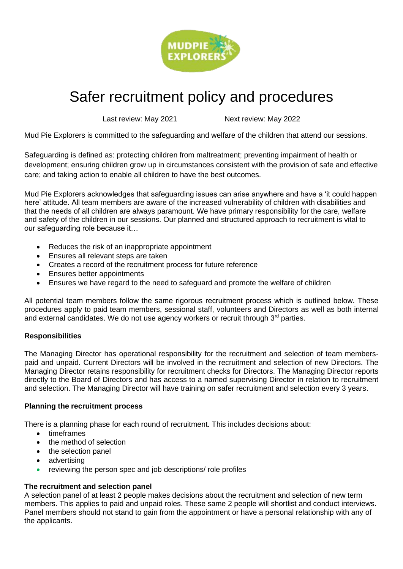

# Safer recruitment policy and procedures

Last review: May 2021 Next review: May 2022

Mud Pie Explorers is committed to the safeguarding and welfare of the children that attend our sessions.

Safeguarding is defined as: protecting children from maltreatment; preventing impairment of health or development; ensuring children grow up in circumstances consistent with the provision of safe and effective care; and taking action to enable all children to have the best outcomes.

Mud Pie Explorers acknowledges that safeguarding issues can arise anywhere and have a 'it could happen here' attitude. All team members are aware of the increased vulnerability of children with disabilities and that the needs of all children are always paramount. We have primary responsibility for the care, welfare and safety of the children in our sessions. Our planned and structured approach to recruitment is vital to our safeguarding role because it…

- Reduces the risk of an inappropriate appointment
- Ensures all relevant steps are taken
- Creates a record of the recruitment process for future reference
- Ensures better appointments
- Ensures we have regard to the need to safeguard and promote the welfare of children

All potential team members follow the same rigorous recruitment process which is outlined below. These procedures apply to paid team members, sessional staff, volunteers and Directors as well as both internal and external candidates. We do not use agency workers or recruit through 3<sup>rd</sup> parties.

# **Responsibilities**

The Managing Director has operational responsibility for the recruitment and selection of team memberspaid and unpaid. Current Directors will be involved in the recruitment and selection of new Directors. The Managing Director retains responsibility for recruitment checks for Directors. The Managing Director reports directly to the Board of Directors and has access to a named supervising Director in relation to recruitment and selection. The Managing Director will have training on safer recruitment and selection every 3 years.

# **Planning the recruitment process**

There is a planning phase for each round of recruitment. This includes decisions about:

- timeframes
- the method of selection
- the selection panel
- advertising
- reviewing the person spec and job descriptions/ role profiles

# **The recruitment and selection panel**

A selection panel of at least 2 people makes decisions about the recruitment and selection of new term members. This applies to paid and unpaid roles. These same 2 people will shortlist and conduct interviews. Panel members should not stand to gain from the appointment or have a personal relationship with any of the applicants.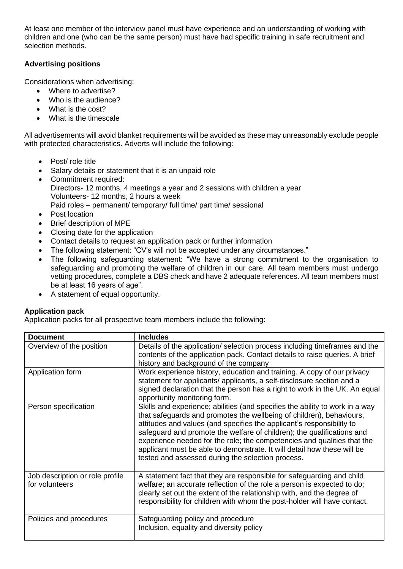At least one member of the interview panel must have experience and an understanding of working with children and one (who can be the same person) must have had specific training in safe recruitment and selection methods.

# **Advertising positions**

Considerations when advertising:

- Where to advertise?
- Who is the audience?
- What is the cost?
- What is the timescale

All advertisements will avoid blanket requirements will be avoided as these may unreasonably exclude people with protected characteristics. Adverts will include the following:

- Post/ role title
- Salary details or statement that it is an unpaid role
- Commitment required: Directors- 12 months, 4 meetings a year and 2 sessions with children a year Volunteers- 12 months, 2 hours a week Paid roles – permanent/ temporary/ full time/ part time/ sessional
- Post location
- Brief description of MPE
- Closing date for the application
- Contact details to request an application pack or further information
- The following statement: "CV's will not be accepted under any circumstances."
- The following safeguarding statement: "We have a strong commitment to the organisation to safeguarding and promoting the welfare of children in our care. All team members must undergo vetting procedures, complete a DBS check and have 2 adequate references. All team members must be at least 16 years of age".
- A statement of equal opportunity.

# **Application pack**

Application packs for all prospective team members include the following:

| <b>Document</b>                                   | <b>Includes</b>                                                                                                                                                                                                                                                                                                                                                                                                                                                                                                    |
|---------------------------------------------------|--------------------------------------------------------------------------------------------------------------------------------------------------------------------------------------------------------------------------------------------------------------------------------------------------------------------------------------------------------------------------------------------------------------------------------------------------------------------------------------------------------------------|
| Overview of the position                          | Details of the application/ selection process including timeframes and the<br>contents of the application pack. Contact details to raise queries. A brief<br>history and background of the company                                                                                                                                                                                                                                                                                                                 |
| Application form                                  | Work experience history, education and training. A copy of our privacy<br>statement for applicants/ applicants, a self-disclosure section and a<br>signed declaration that the person has a right to work in the UK. An equal<br>opportunity monitoring form.                                                                                                                                                                                                                                                      |
| Person specification                              | Skills and experience; abilities (and specifies the ability to work in a way<br>that safeguards and promotes the wellbeing of children), behaviours,<br>attitudes and values (and specifies the applicant's responsibility to<br>safeguard and promote the welfare of children); the qualifications and<br>experience needed for the role; the competencies and qualities that the<br>applicant must be able to demonstrate. It will detail how these will be<br>tested and assessed during the selection process. |
| Job description or role profile<br>for volunteers | A statement fact that they are responsible for safeguarding and child<br>welfare; an accurate reflection of the role a person is expected to do;<br>clearly set out the extent of the relationship with, and the degree of<br>responsibility for children with whom the post-holder will have contact.                                                                                                                                                                                                             |
| Policies and procedures                           | Safeguarding policy and procedure<br>Inclusion, equality and diversity policy                                                                                                                                                                                                                                                                                                                                                                                                                                      |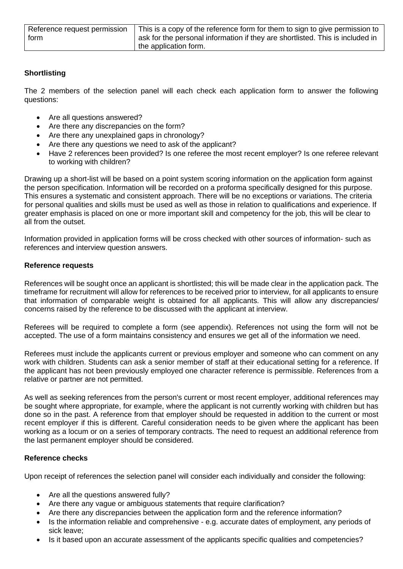| Reference request permission | This is a copy of the reference form for them to sign to give permission to   |
|------------------------------|-------------------------------------------------------------------------------|
| form                         | ask for the personal information if they are shortlisted. This is included in |
|                              | the application form.                                                         |

# **Shortlisting**

The 2 members of the selection panel will each check each application form to answer the following questions:

- Are all questions answered?
- Are there any discrepancies on the form?
- Are there any unexplained gaps in chronology?
- Are there any questions we need to ask of the applicant?
- Have 2 references been provided? Is one referee the most recent employer? Is one referee relevant to working with children?

Drawing up a short-list will be based on a point system scoring information on the application form against the person specification. Information will be recorded on a proforma specifically designed for this purpose. This ensures a systematic and consistent approach. There will be no exceptions or variations. The criteria for personal qualities and skills must be used as well as those in relation to qualifications and experience. If greater emphasis is placed on one or more important skill and competency for the job, this will be clear to all from the outset.

Information provided in application forms will be cross checked with other sources of information- such as references and interview question answers.

#### **Reference requests**

References will be sought once an applicant is shortlisted; this will be made clear in the application pack. The timeframe for recruitment will allow for references to be received prior to interview, for all applicants to ensure that information of comparable weight is obtained for all applicants. This will allow any discrepancies/ concerns raised by the reference to be discussed with the applicant at interview.

Referees will be required to complete a form (see appendix). References not using the form will not be accepted. The use of a form maintains consistency and ensures we get all of the information we need.

Referees must include the applicants current or previous employer and someone who can comment on any work with children. Students can ask a senior member of staff at their educational setting for a reference. If the applicant has not been previously employed one character reference is permissible. References from a relative or partner are not permitted.

As well as seeking references from the person's current or most recent employer, additional references may be sought where appropriate, for example, where the applicant is not currently working with children but has done so in the past. A reference from that employer should be requested in addition to the current or most recent employer if this is different. Careful consideration needs to be given where the applicant has been working as a locum or on a series of temporary contracts. The need to request an additional reference from the last permanent employer should be considered.

# **Reference checks**

Upon receipt of references the selection panel will consider each individually and consider the following:

- Are all the questions answered fully?
- Are there any vague or ambiguous statements that require clarification?
- Are there any discrepancies between the application form and the reference information?
- Is the information reliable and comprehensive e.g. accurate dates of employment, any periods of sick leave;
- Is it based upon an accurate assessment of the applicants specific qualities and competencies?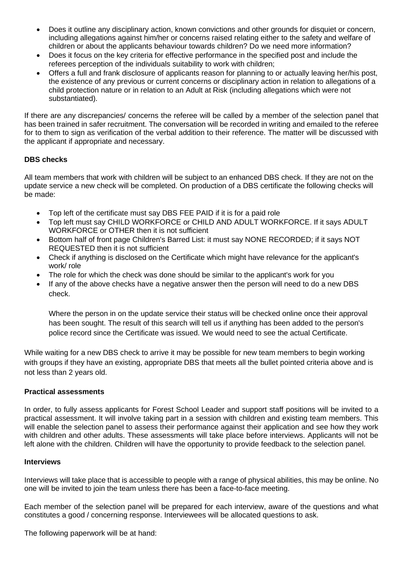- Does it outline any disciplinary action, known convictions and other grounds for disquiet or concern, including allegations against him/her or concerns raised relating either to the safety and welfare of children or about the applicants behaviour towards children? Do we need more information?
- Does it focus on the key criteria for effective performance in the specified post and include the referees perception of the individuals suitability to work with children;
- Offers a full and frank disclosure of applicants reason for planning to or actually leaving her/his post, the existence of any previous or current concerns or disciplinary action in relation to allegations of a child protection nature or in relation to an Adult at Risk (including allegations which were not substantiated).

If there are any discrepancies/ concerns the referee will be called by a member of the selection panel that has been trained in safer recruitment. The conversation will be recorded in writing and emailed to the referee for to them to sign as verification of the verbal addition to their reference. The matter will be discussed with the applicant if appropriate and necessary.

# **DBS checks**

All team members that work with children will be subject to an enhanced DBS check. If they are not on the update service a new check will be completed. On production of a DBS certificate the following checks will be made:

- Top left of the certificate must say DBS FEE PAID if it is for a paid role
- Top left must say CHILD WORKFORCE or CHILD AND ADULT WORKFORCE. If it says ADULT WORKFORCE or OTHER then it is not sufficient
- Bottom half of front page Children's Barred List: it must say NONE RECORDED; if it says NOT REQUESTED then it is not sufficient
- Check if anything is disclosed on the Certificate which might have relevance for the applicant's work/ role
- The role for which the check was done should be similar to the applicant's work for you
- If any of the above checks have a negative answer then the person will need to do a new DBS check.

Where the person in on the update service their status will be checked online once their approval has been sought. The result of this search will tell us if anything has been added to the person's police record since the Certificate was issued. We would need to see the actual Certificate.

While waiting for a new DBS check to arrive it may be possible for new team members to begin working with groups if they have an existing, appropriate DBS that meets all the bullet pointed criteria above and is not less than 2 years old.

# **Practical assessments**

In order, to fully assess applicants for Forest School Leader and support staff positions will be invited to a practical assessment. It will involve taking part in a session with children and existing team members. This will enable the selection panel to assess their performance against their application and see how they work with children and other adults. These assessments will take place before interviews. Applicants will not be left alone with the children. Children will have the opportunity to provide feedback to the selection panel*.*

#### **Interviews**

Interviews will take place that is accessible to people with a range of physical abilities, this may be online. No one will be invited to join the team unless there has been a face-to-face meeting.

Each member of the selection panel will be prepared for each interview, aware of the questions and what constitutes a good / concerning response. Interviewees will be allocated questions to ask.

The following paperwork will be at hand: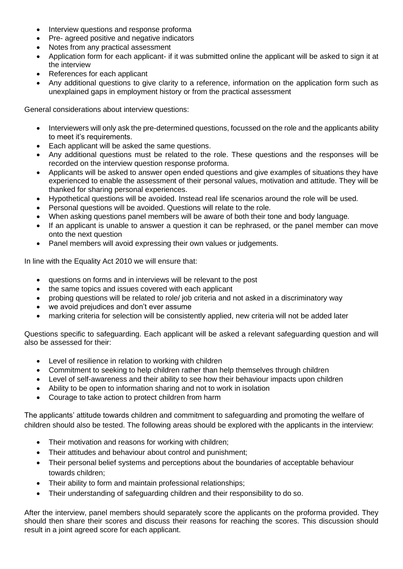- Interview questions and response proforma
- Pre- agreed positive and negative indicators
- Notes from any practical assessment
- Application form for each applicant- if it was submitted online the applicant will be asked to sign it at the interview
- References for each applicant
- Any additional questions to give clarity to a reference, information on the application form such as unexplained gaps in employment history or from the practical assessment

General considerations about interview questions:

- Interviewers will only ask the pre-determined questions, focussed on the role and the applicants ability to meet it's requirements.
- Each applicant will be asked the same questions.
- Any additional questions must be related to the role. These questions and the responses will be recorded on the interview question response proforma.
- Applicants will be asked to answer open ended questions and give examples of situations they have experienced to enable the assessment of their personal values, motivation and attitude. They will be thanked for sharing personal experiences.
- Hypothetical questions will be avoided. Instead real life scenarios around the role will be used.
- Personal questions will be avoided. Questions will relate to the role.
- When asking questions panel members will be aware of both their tone and body language.
- If an applicant is unable to answer a question it can be rephrased, or the panel member can move onto the next question
- Panel members will avoid expressing their own values or judgements.

In line with the Equality Act 2010 we will ensure that:

- questions on forms and in interviews will be relevant to the post
- the same topics and issues covered with each applicant
- probing questions will be related to role/ job criteria and not asked in a discriminatory way
- we avoid prejudices and don't ever assume
- marking criteria for selection will be consistently applied, new criteria will not be added later

Questions specific to safeguarding. Each applicant will be asked a relevant safeguarding question and will also be assessed for their:

- Level of resilience in relation to working with children
- Commitment to seeking to help children rather than help themselves through children
- Level of self-awareness and their ability to see how their behaviour impacts upon children
- Ability to be open to information sharing and not to work in isolation
- Courage to take action to protect children from harm

The applicants' attitude towards children and commitment to safeguarding and promoting the welfare of children should also be tested. The following areas should be explored with the applicants in the interview:

- Their motivation and reasons for working with children;
- Their attitudes and behaviour about control and punishment;
- Their personal belief systems and perceptions about the boundaries of acceptable behaviour towards children;
- Their ability to form and maintain professional relationships;
- Their understanding of safeguarding children and their responsibility to do so.

After the interview, panel members should separately score the applicants on the proforma provided. They should then share their scores and discuss their reasons for reaching the scores. This discussion should result in a joint agreed score for each applicant.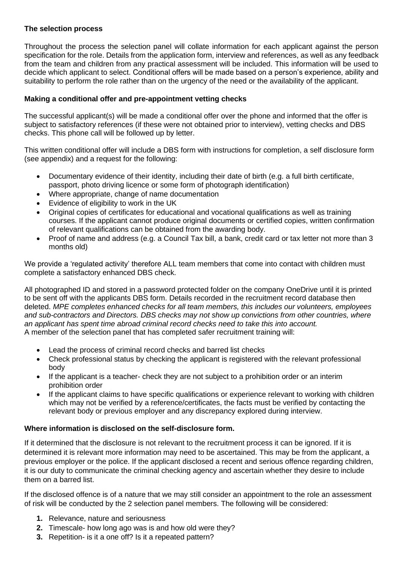# **The selection process**

Throughout the process the selection panel will collate information for each applicant against the person specification for the role. Details from the application form, interview and references, as well as any feedback from the team and children from any practical assessment will be included. This information will be used to decide which applicant to select. Conditional offers will be made based on a person's experience, ability and suitability to perform the role rather than on the urgency of the need or the availability of the applicant.

# **Making a conditional offer and pre-appointment vetting checks**

The successful applicant(s) will be made a conditional offer over the phone and informed that the offer is subject to satisfactory references (if these were not obtained prior to interview), vetting checks and DBS checks. This phone call will be followed up by letter.

This written conditional offer will include a DBS form with instructions for completion, a self disclosure form (see appendix) and a request for the following:

- Documentary evidence of their identity, including their date of birth (e.g. a full birth certificate, passport, photo driving licence or some form of photograph identification)
- Where appropriate, change of name documentation
- Evidence of eligibility to work in the UK
- Original copies of certificates for educational and vocational qualifications as well as training courses. If the applicant cannot produce original documents or certified copies, written confirmation of relevant qualifications can be obtained from the awarding body.
- Proof of name and address (e.g. a Council Tax bill, a bank, credit card or tax letter not more than 3 months old)

We provide a 'regulated activity' therefore ALL team members that come into contact with children must complete a satisfactory enhanced DBS check.

All photographed ID and stored in a password protected folder on the company OneDrive until it is printed to be sent off with the applicants DBS form. Details recorded in the recruitment record database then deleted. *MPE completes enhanced checks for all team members, this includes our volunteers, employees and sub-contractors and Directors. DBS checks may not show up convictions from other countries, where an applicant has spent time abroad criminal record checks need to take this into account.*  A member of the selection panel that has completed safer recruitment training will:

- Lead the process of criminal record checks and barred list checks
- Check professional status by checking the applicant is registered with the relevant professional body
- If the applicant is a teacher- check they are not subject to a prohibition order or an interim prohibition order
- If the applicant claims to have specific qualifications or experience relevant to working with children which may not be verified by a reference/certificates, the facts must be verified by contacting the relevant body or previous employer and any discrepancy explored during interview.

# **Where information is disclosed on the self-disclosure form.**

If it determined that the disclosure is not relevant to the recruitment process it can be ignored. If it is determined it is relevant more information may need to be ascertained. This may be from the applicant, a previous employer or the police. If the applicant disclosed a recent and serious offence regarding children, it is our duty to communicate the criminal checking agency and ascertain whether they desire to include them on a barred list.

If the disclosed offence is of a nature that we may still consider an appointment to the role an assessment of risk will be conducted by the 2 selection panel members. The following will be considered:

- **1.** Relevance, nature and seriousness
- **2.** Timescale- how long ago was is and how old were they?
- **3.** Repetition- is it a one off? Is it a repeated pattern?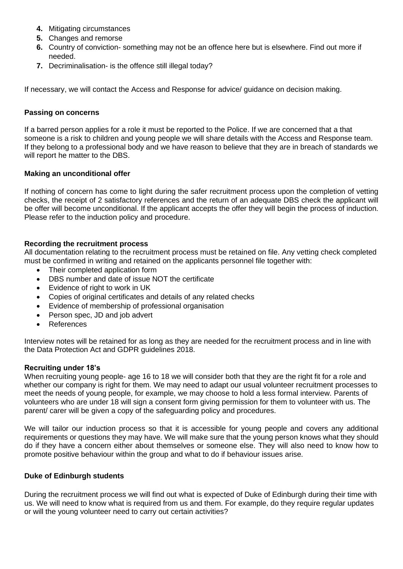- **4.** Mitigating circumstances
- **5.** Changes and remorse
- **6.** Country of conviction- something may not be an offence here but is elsewhere. Find out more if needed.
- **7.** Decriminalisation- is the offence still illegal today?

If necessary, we will contact the Access and Response for advice/ guidance on decision making.

#### **Passing on concerns**

If a barred person applies for a role it must be reported to the Police. If we are concerned that a that someone is a risk to children and young people we will share details with the Access and Response team. If they belong to a professional body and we have reason to believe that they are in breach of standards we will report he matter to the DBS.

# **Making an unconditional offer**

If nothing of concern has come to light during the safer recruitment process upon the completion of vetting checks, the receipt of 2 satisfactory references and the return of an adequate DBS check the applicant will be offer will become unconditional. If the applicant accepts the offer they will begin the process of induction. Please refer to the induction policy and procedure.

# **Recording the recruitment process**

All documentation relating to the recruitment process must be retained on file. Any vetting check completed must be confirmed in writing and retained on the applicants personnel file together with:

- Their completed application form
- DBS number and date of issue NOT the certificate
- Evidence of right to work in UK
- Copies of original certificates and details of any related checks
- Evidence of membership of professional organisation
- Person spec, JD and job advert
- **References**

Interview notes will be retained for as long as they are needed for the recruitment process and in line with the Data Protection Act and GDPR guidelines 2018.

# **Recruiting under 18's**

When recruiting young people- age 16 to 18 we will consider both that they are the right fit for a role and whether our company is right for them. We may need to adapt our usual volunteer recruitment processes to meet the needs of young people, for example, we may choose to hold a less formal interview. Parents of volunteers who are under 18 will sign a consent form giving permission for them to volunteer with us. The parent/ carer will be given a copy of the safeguarding policy and procedures.

We will tailor our induction process so that it is accessible for young people and covers any additional requirements or questions they may have. We will make sure that the young person knows what they should do if they have a concern either about themselves or someone else. They will also need to know how to promote positive behaviour within the group and what to do if behaviour issues arise.

# **Duke of Edinburgh students**

During the recruitment process we will find out what is expected of Duke of Edinburgh during their time with us. We will need to know what is required from us and them. For example, do they require regular updates or will the young volunteer need to carry out certain activities?